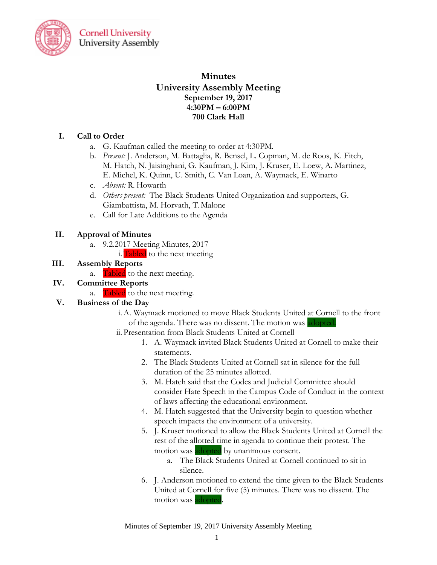

**Cornell University University Assembly** 

# **Minutes University Assembly Meeting September 19, 2017 4:30PM – 6:00PM 700 Clark Hall**

### **I. Call to Order**

- a. G. Kaufman called the meeting to order at 4:30PM.
- b. *Present:* J. Anderson, M. Battaglia, R. Bensel, L. Copman, M. de Roos, K. Fitch, M. Hatch, N. Jaisinghani, G. Kaufman, J. Kim, J. Kruser, E. Loew, A. Martinez, E. Michel, K. Quinn, U. Smith, C. Van Loan, A. Waymack, E. Winarto
- c. *Absent:* R. Howarth
- d. *Others present:* The Black Students United Organization and supporters, G. Giambattista, M. Horvath, T.Malone
- e. Call for Late Additions to the Agenda

#### **II. Approval of Minutes**

- a. 9.2.2017 Meeting Minutes, 2017
	- i.  **to the next meeting**

#### **III. Assembly Reports**

a. **Tabled** to the next meeting.

## **IV. Committee Reports**

a. Tabled to the next meeting.

## **V. Business of the Day**

- i.A. Waymack motioned to move Black Students United at Cornell to the front of the agenda. There was no dissent. The motion was adopted.
- ii. Presentation from Black Students United at Cornell
	- 1. A. Waymack invited Black Students United at Cornell to make their statements.
	- 2. The Black Students United at Cornell sat in silence for the full duration of the 25 minutes allotted.
	- 3. M. Hatch said that the Codes and Judicial Committee should consider Hate Speech in the Campus Code of Conduct in the context of laws affecting the educational environment.
	- 4. M. Hatch suggested that the University begin to question whether speech impacts the environment of a university.
	- 5. J. Kruser motioned to allow the Black Students United at Cornell the rest of the allotted time in agenda to continue their protest. The motion was adopted by unanimous consent.
		- a. The Black Students United at Cornell continued to sit in silence.
	- 6. J. Anderson motioned to extend the time given to the Black Students United at Cornell for five (5) minutes. There was no dissent. The motion was adopted.

Minutes of September 19, 2017 University Assembly Meeting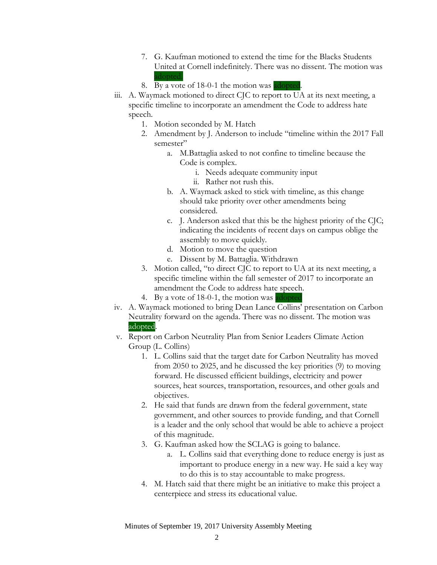- 7. G. Kaufman motioned to extend the time for the Blacks Students United at Cornell indefinitely. There was no dissent. The motion was adopted.
- 8. By a vote of 18-0-1 the motion was adopted.
- iii. A. Waymack motioned to direct CJC to report to UA at its next meeting, a specific timeline to incorporate an amendment the Code to address hate speech.
	- 1. Motion seconded by M. Hatch
	- 2. Amendment by J. Anderson to include "timeline within the 2017 Fall semester"
		- a. M.Battaglia asked to not confine to timeline because the Code is complex.
			- i. Needs adequate community input
			- ii. Rather not rush this.
		- b. A. Waymack asked to stick with timeline, as this change should take priority over other amendments being considered.
		- c. J. Anderson asked that this be the highest priority of the CJC; indicating the incidents of recent days on campus oblige the assembly to move quickly.
		- d. Motion to move the question
		- e. Dissent by M. Battaglia. Withdrawn
	- 3. Motion called, "to direct CJC to report to UA at its next meeting, a specific timeline within the fall semester of 2017 to incorporate an amendment the Code to address hate speech.
	- 4. By a vote of 18-0-1, the motion was adopted
- iv. A. Waymack motioned to bring Dean Lance Collins' presentation on Carbon Neutrality forward on the agenda. There was no dissent. The motion was adopted.
- v. Report on Carbon Neutrality Plan from Senior Leaders Climate Action Group (L. Collins)
	- 1. L. Collins said that the target date for Carbon Neutrality has moved from 2050 to 2025, and he discussed the key priorities (9) to moving forward. He discussed efficient buildings, electricity and power sources, heat sources, transportation, resources, and other goals and objectives.
	- 2. He said that funds are drawn from the federal government, state government, and other sources to provide funding, and that Cornell is a leader and the only school that would be able to achieve a project of this magnitude.
	- 3. G. Kaufman asked how the SCLAG is going to balance.
		- a. L. Collins said that everything done to reduce energy is just as important to produce energy in a new way. He said a key way to do this is to stay accountable to make progress.
	- 4. M. Hatch said that there might be an initiative to make this project a centerpiece and stress its educational value.

Minutes of September 19, 2017 University Assembly Meeting